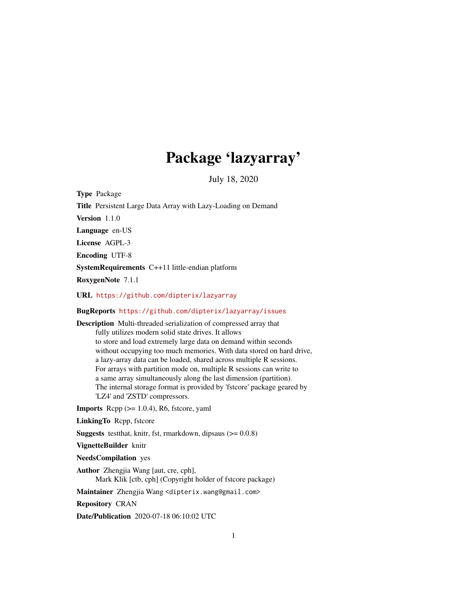## Package 'lazyarray'

July 18, 2020

<span id="page-0-0"></span>Type Package

Title Persistent Large Data Array with Lazy-Loading on Demand

Version 1.1.0

Language en-US

License AGPL-3

Encoding UTF-8

SystemRequirements C++11 little-endian platform

RoxygenNote 7.1.1

URL <https://github.com/dipterix/lazyarray>

#### BugReports <https://github.com/dipterix/lazyarray/issues>

Description Multi-threaded serialization of compressed array that fully utilizes modern solid state drives. It allows to store and load extremely large data on demand within seconds without occupying too much memories. With data stored on hard drive, a lazy-array data can be loaded, shared across multiple R sessions. For arrays with partition mode on, multiple R sessions can write to a same array simultaneously along the last dimension (partition). The internal storage format is provided by 'fstcore' package geared by 'LZ4' and 'ZSTD' compressors.

**Imports** Rcpp  $(>= 1.0.4)$ , R6, fstcore, yaml

LinkingTo Rcpp, fstcore

**Suggests** testthat, knitr, fst, rmarkdown, dipsaus  $(>= 0.0.8)$ 

VignetteBuilder knitr

NeedsCompilation yes

Author Zhengjia Wang [aut, cre, cph], Mark Klik [ctb, cph] (Copyright holder of fstcore package)

Maintainer Zhengjia Wang <dipterix.wang@gmail.com>

Repository CRAN

Date/Publication 2020-07-18 06:10:02 UTC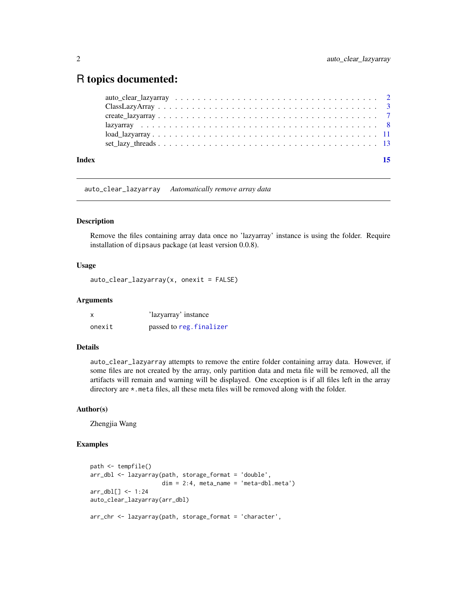### <span id="page-1-0"></span>R topics documented:

| Index |                                                                                                                                                  | 15 |
|-------|--------------------------------------------------------------------------------------------------------------------------------------------------|----|
|       |                                                                                                                                                  |    |
|       | $load$ $lazyarray$ $\ldots$ $\ldots$ $\ldots$ $\ldots$ $\ldots$ $\ldots$ $\ldots$ $\ldots$ $\ldots$ $\ldots$ $\ldots$ $\ldots$ $\ldots$ $\ldots$ |    |
|       |                                                                                                                                                  |    |
|       |                                                                                                                                                  |    |
|       |                                                                                                                                                  |    |
|       |                                                                                                                                                  |    |

auto\_clear\_lazyarray *Automatically remove array data*

#### **Description**

Remove the files containing array data once no 'lazyarray' instance is using the folder. Require installation of dipsaus package (at least version 0.0.8).

#### Usage

auto\_clear\_lazyarray(x, onexit = FALSE)

#### Arguments

| X      | 'lazyarray' instance     |
|--------|--------------------------|
| onexit | passed to reg. finalizer |

#### Details

auto\_clear\_lazyarray attempts to remove the entire folder containing array data. However, if some files are not created by the array, only partition data and meta file will be removed, all the artifacts will remain and warning will be displayed. One exception is if all files left in the array directory are \*.meta files, all these meta files will be removed along with the folder.

#### Author(s)

Zhengjia Wang

#### Examples

```
path <- tempfile()
arr_dbl <- lazyarray(path, storage_format = 'double',
                     dim = 2:4, meta_name = 'meta-dbl.meta')
arr_dbl[] \leftarrow 1:24auto_clear_lazyarray(arr_dbl)
arr_chr <- lazyarray(path, storage_format = 'character',
```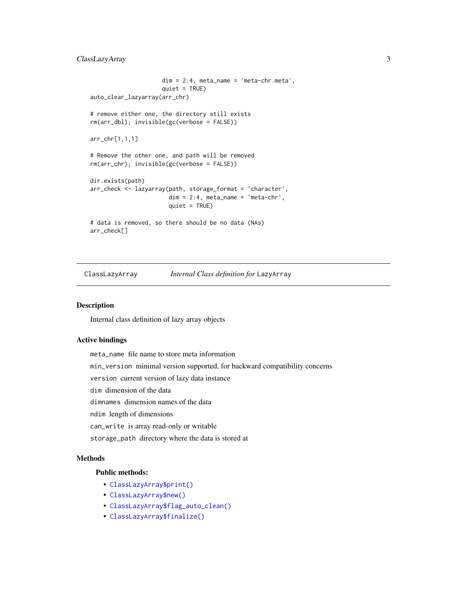#### <span id="page-2-0"></span>ClassLazyArray 3

```
dim = 2:4, meta_name = 'meta-chr.meta',
                     quiet = TRUE)
auto_clear_lazyarray(arr_chr)
# remove either one, the directory still exists
rm(arr_dbl); invisible(gc(verbose = FALSE))
arr_chr[1,1,1]
# Remove the other one, and path will be removed
rm(arr_chr); invisible(gc(verbose = FALSE))
dir.exists(path)
arr_check <- lazyarray(path, storage_format = 'character',
                       dim = 2:4, meta_name = 'meta-chr',
                       quiet = TRUE)
# data is removed, so there should be no data (NAs)
arr_check[]
```
ClassLazyArray *Internal Class definition for* LazyArray

#### **Description**

Internal class definition of lazy array objects

#### Active bindings

meta\_name file name to store meta information

min\_version minimal version supported, for backward compatibility concerns

version current version of lazy data instance

dim dimension of the data

dimnames dimension names of the data

ndim length of dimensions

can\_write is array read-only or writable

storage\_path directory where the data is stored at

#### Methods

#### Public methods:

- [ClassLazyArray\\$print\(\)](#page-3-0)
- [ClassLazyArray\\$new\(\)](#page-3-1)
- [ClassLazyArray\\$flag\\_auto\\_clean\(\)](#page-3-2)
- [ClassLazyArray\\$finalize\(\)](#page-3-3)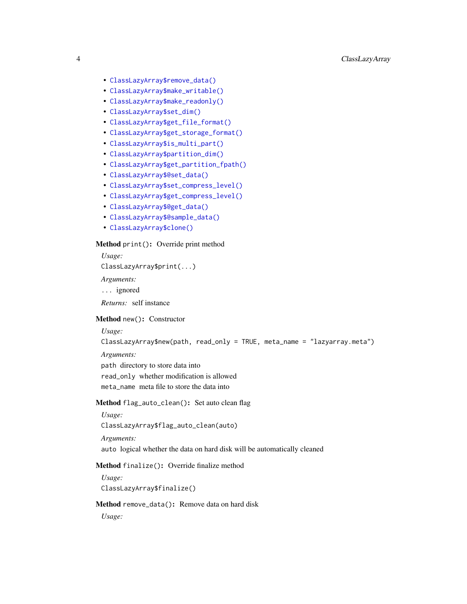- [ClassLazyArray\\$remove\\_data\(\)](#page-3-4)
- [ClassLazyArray\\$make\\_writable\(\)](#page-4-0)
- [ClassLazyArray\\$make\\_readonly\(\)](#page-4-1)
- [ClassLazyArray\\$set\\_dim\(\)](#page-4-2)
- [ClassLazyArray\\$get\\_file\\_format\(\)](#page-4-3)
- [ClassLazyArray\\$get\\_storage\\_format\(\)](#page-4-4)
- [ClassLazyArray\\$is\\_multi\\_part\(\)](#page-4-5)
- [ClassLazyArray\\$partition\\_dim\(\)](#page-4-6)
- [ClassLazyArray\\$get\\_partition\\_fpath\(\)](#page-4-7)
- [ClassLazyArray\\$@set\\_data\(\)](#page-4-8)
- [ClassLazyArray\\$set\\_compress\\_level\(\)](#page-5-0)
- [ClassLazyArray\\$get\\_compress\\_level\(\)](#page-5-1)
- [ClassLazyArray\\$@get\\_data\(\)](#page-5-2)
- [ClassLazyArray\\$@sample\\_data\(\)](#page-5-3)
- [ClassLazyArray\\$clone\(\)](#page-5-4)

#### <span id="page-3-0"></span>Method print(): Override print method

*Usage:* ClassLazyArray\$print(...)

*Arguments:*

- ... ignored
- *Returns:* self instance

#### <span id="page-3-1"></span>Method new(): Constructor

*Usage:*

```
ClassLazyArray$new(path, read_only = TRUE, meta_name = "lazyarray.meta")
```
*Arguments:*

path directory to store data into read\_only whether modification is allowed meta\_name meta file to store the data into

#### <span id="page-3-2"></span>Method flag\_auto\_clean(): Set auto clean flag

*Usage:* ClassLazyArray\$flag\_auto\_clean(auto) *Arguments:*

auto logical whether the data on hard disk will be automatically cleaned

#### <span id="page-3-3"></span>Method finalize(): Override finalize method

*Usage:* ClassLazyArray\$finalize()

#### <span id="page-3-4"></span>Method remove\_data(): Remove data on hard disk

*Usage:*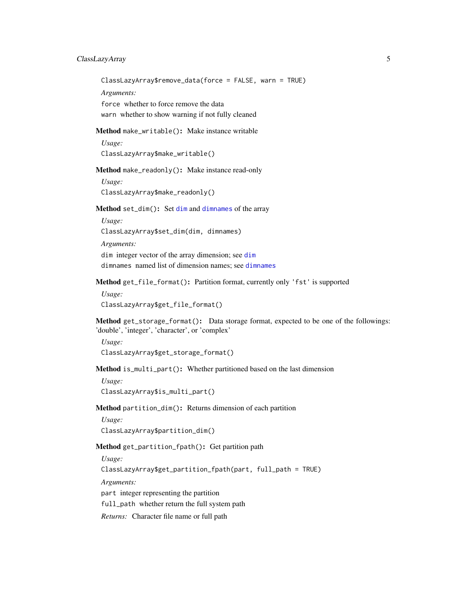#### <span id="page-4-9"></span>ClassLazyArray 5

ClassLazyArray\$remove\_data(force = FALSE, warn = TRUE)

*Arguments:*

force whether to force remove the data warn whether to show warning if not fully cleaned

<span id="page-4-0"></span>Method make\_writable(): Make instance writable

*Usage:*

ClassLazyArray\$make\_writable()

<span id="page-4-1"></span>Method make\_readonly(): Make instance read-only

*Usage:*

ClassLazyArray\$make\_readonly()

<span id="page-4-2"></span>Method set\_dim(): Set [dim](#page-0-0) and [dimnames](#page-0-0) of the array

*Usage:*

ClassLazyArray\$set\_dim(dim, dimnames)

*Arguments:*

dim integer vector of the array dimension; see [dim](#page-0-0) dimnames named list of dimension names; see [dimnames](#page-0-0)

<span id="page-4-3"></span>Method get\_file\_format(): Partition format, currently only 'fst' is supported

*Usage:* ClassLazyArray\$get\_file\_format()

<span id="page-4-4"></span>Method get\_storage\_format(): Data storage format, expected to be one of the followings: 'double', 'integer', 'character', or 'complex'

*Usage:* ClassLazyArray\$get\_storage\_format()

<span id="page-4-5"></span>Method is\_multi\_part(): Whether partitioned based on the last dimension

*Usage:* ClassLazyArray\$is\_multi\_part()

<span id="page-4-6"></span>Method partition\_dim(): Returns dimension of each partition

*Usage:*

ClassLazyArray\$partition\_dim()

<span id="page-4-7"></span>Method get\_partition\_fpath(): Get partition path

*Usage:*

ClassLazyArray\$get\_partition\_fpath(part, full\_path = TRUE)

*Arguments:*

part integer representing the partition

full\_path whether return the full system path

<span id="page-4-8"></span>*Returns:* Character file name or full path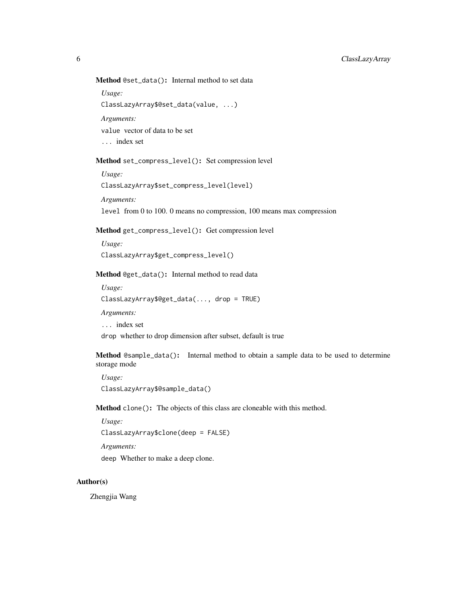#### Method @set\_data(): Internal method to set data

*Usage:*

ClassLazyArray\$@set\_data(value, ...)

*Arguments:*

value vector of data to be set

... index set

#### <span id="page-5-0"></span>Method set\_compress\_level(): Set compression level

*Usage:* ClassLazyArray\$set\_compress\_level(level)

*Arguments:*

level from 0 to 100. 0 means no compression, 100 means max compression

#### <span id="page-5-1"></span>Method get\_compress\_level(): Get compression level

*Usage:* ClassLazyArray\$get\_compress\_level()

#### <span id="page-5-2"></span>Method @get\_data(): Internal method to read data

*Usage:* ClassLazyArray\$@get\_data(..., drop = TRUE)

*Arguments:*

... index set

drop whether to drop dimension after subset, default is true

<span id="page-5-3"></span>Method @sample\_data(): Internal method to obtain a sample data to be used to determine storage mode

*Usage:* ClassLazyArray\$@sample\_data()

<span id="page-5-4"></span>Method clone(): The objects of this class are cloneable with this method.

*Usage:*

ClassLazyArray\$clone(deep = FALSE)

*Arguments:*

deep Whether to make a deep clone.

#### Author(s)

Zhengjia Wang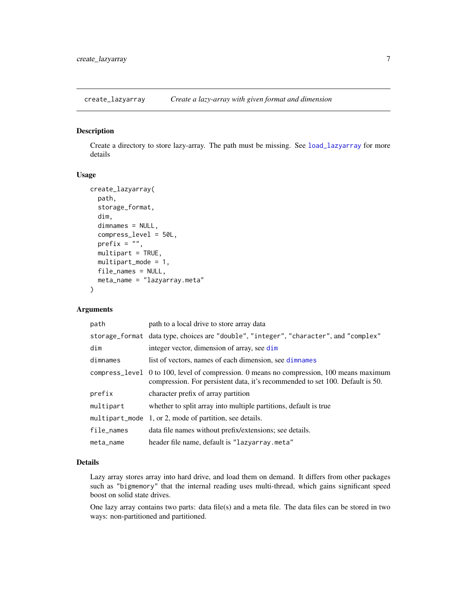<span id="page-6-1"></span><span id="page-6-0"></span>create\_lazyarray *Create a lazy-array with given format and dimension*

#### Description

Create a directory to store lazy-array. The path must be missing. See [load\\_lazyarray](#page-10-1) for more details

#### Usage

```
create_lazyarray(
  path,
  storage_format,
  dim,
  dimnames = NULL,
  compress_level = 50L,
  prefix = "",multipart = TRUE,
 multipart_mode = 1,
  file_names = NULL,
  meta_name = "lazyarray.meta"
)
```
#### Arguments

| path       | path to a local drive to store array data                                                                                                                                 |
|------------|---------------------------------------------------------------------------------------------------------------------------------------------------------------------------|
|            | storage_format data type, choices are "double", "integer", "character", and "complex"                                                                                     |
| dim        | integer vector, dimension of array, see dim                                                                                                                               |
| dimnames   | list of vectors, names of each dimension, see dimnames                                                                                                                    |
|            | compress_level 0 to 100, level of compression. 0 means no compression, 100 means maximum<br>compression. For persistent data, it's recommended to set 100. Default is 50. |
| prefix     | character prefix of array partition                                                                                                                                       |
| multipart  | whether to split array into multiple partitions, default is true                                                                                                          |
|            | multipart_mode $1$ , or 2, mode of partition, see details.                                                                                                                |
| file_names | data file names without prefix/extensions; see details.                                                                                                                   |
| meta_name  | header file name, default is "lazyarray.meta"                                                                                                                             |

#### Details

Lazy array stores array into hard drive, and load them on demand. It differs from other packages such as "bigmemory" that the internal reading uses multi-thread, which gains significant speed boost on solid state drives.

One lazy array contains two parts: data file(s) and a meta file. The data files can be stored in two ways: non-partitioned and partitioned.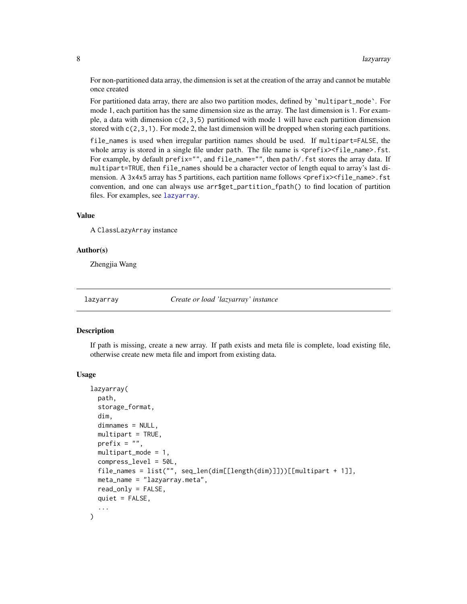For non-partitioned data array, the dimension is set at the creation of the array and cannot be mutable once created

For partitioned data array, there are also two partition modes, defined by `multipart\_mode`. For mode 1, each partition has the same dimension size as the array. The last dimension is 1. For example, a data with dimension  $c(2,3,5)$  partitioned with mode 1 will have each partition dimension stored with  $c(2,3,1)$ . For mode 2, the last dimension will be dropped when storing each partitions.

file\_names is used when irregular partition names should be used. If multipart=FALSE, the whole array is stored in a single file under path. The file name is  $\langle prefix \rangle \langle file_name \rangle$ . fst. For example, by default prefix="", and file\_name="", then path/.fst stores the array data. If multipart=TRUE, then file\_names should be a character vector of length equal to array's last dimension. A 3x4x5 array has 5 partitions, each partition name follows <prefix><file\_name>.fst convention, and one can always use arr\$get\_partition\_fpath() to find location of partition files. For examples, see [lazyarray](#page-7-1).

#### Value

A ClassLazyArray instance

#### Author(s)

Zhengjia Wang

<span id="page-7-1"></span>

lazyarray *Create or load 'lazyarray' instance*

#### Description

If path is missing, create a new array. If path exists and meta file is complete, load existing file, otherwise create new meta file and import from existing data.

#### Usage

```
lazyarray(
  path,
  storage_format,
  dim,
  dimnames = NULL,
  multipart = TRUE,
  prefix = ",
  multipart_mode = 1,
  compress_level = 50L,
  file_names = list("", seq_len(dim[[length(dim)]]))[[multipart + 1]],
  meta_name = "lazyarray.meta",
  read_only = FALSE,
  quiet = FALSE,)
```
<span id="page-7-0"></span>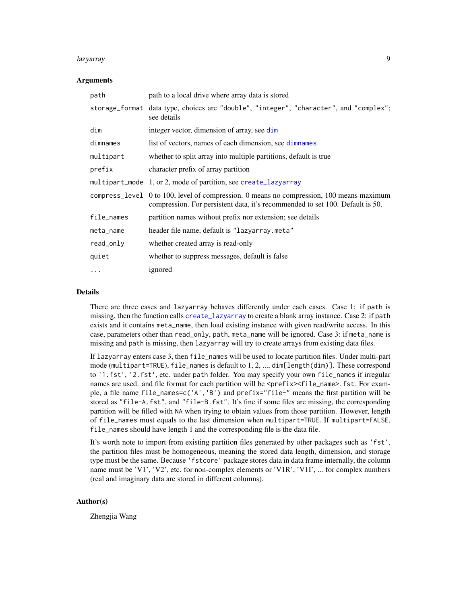#### <span id="page-8-0"></span>lazyarray 9

#### Arguments

| path       | path to a local drive where array data is stored                                                                                                                          |
|------------|---------------------------------------------------------------------------------------------------------------------------------------------------------------------------|
|            | storage_format data type, choices are "double", "integer", "character", and "complex";<br>see details                                                                     |
| dim        | integer vector, dimension of array, see dim                                                                                                                               |
| dimnames   | list of vectors, names of each dimension, see dimnames                                                                                                                    |
| multipart  | whether to split array into multiple partitions, default is true                                                                                                          |
| prefix     | character prefix of array partition                                                                                                                                       |
|            | multipart_mode 1, or 2, mode of partition, see create_lazyarray                                                                                                           |
|            | compress_level 0 to 100, level of compression. 0 means no compression, 100 means maximum<br>compression. For persistent data, it's recommended to set 100. Default is 50. |
| file_names | partition names without prefix nor extension; see details                                                                                                                 |
| meta_name  | header file name, default is "lazyarray.meta"                                                                                                                             |
| read_only  | whether created array is read-only                                                                                                                                        |
| quiet      | whether to suppress messages, default is false                                                                                                                            |
| $\cdots$   | ignored                                                                                                                                                                   |

#### Details

There are three cases and lazyarray behaves differently under each cases. Case 1: if path is missing, then the function calls [create\\_lazyarray](#page-6-1) to create a blank array instance. Case 2: if path exists and it contains meta\_name, then load existing instance with given read/write access. In this case, parameters other than read\_only, path, meta\_name will be ignored. Case 3: if meta\_name is missing and path is missing, then lazyarray will try to create arrays from existing data files.

If lazyarray enters case 3, then file\_names will be used to locate partition files. Under multi-part mode (multipart=TRUE), file\_names is default to 1, 2, ..., dim[length(dim)]. These correspond to '1.fst', '2.fst', etc. under path folder. You may specify your own file\_names if irregular names are used. and file format for each partition will be <prefix><file\_name>.fst. For example, a file name file\_names=c('A','B') and prefix="file-" means the first partition will be stored as "file-A.fst", and "file-B.fst". It's fine if some files are missing, the corresponding partition will be filled with NA when trying to obtain values from those partition. However, length of file\_names must equals to the last dimension when multipart=TRUE. If multipart=FALSE, file\_names should have length 1 and the corresponding file is the data file.

It's worth note to import from existing partition files generated by other packages such as 'fst', the partition files must be homogeneous, meaning the stored data length, dimension, and storage type must be the same. Because 'fstcore' package stores data in data frame internally, the column name must be 'V1', 'V2', etc. for non-complex elements or 'V1R', 'V1I', ... for complex numbers (real and imaginary data are stored in different columns).

#### Author(s)

Zhengjia Wang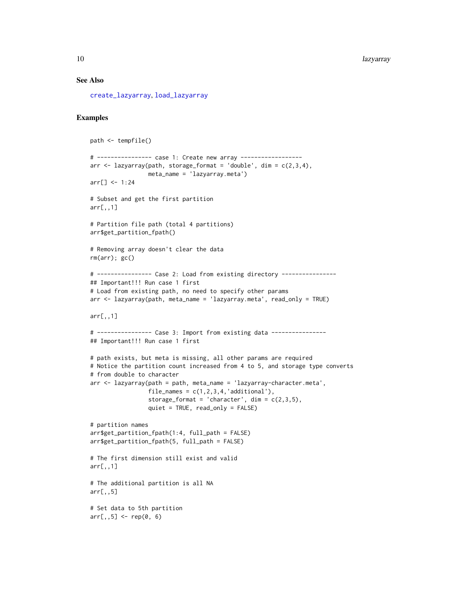#### See Also

[create\\_lazyarray](#page-6-1), [load\\_lazyarray](#page-10-1)

#### Examples

```
path <- tempfile()
# ---------------- case 1: Create new array ------------------
arr \leq lazyarray(path, storage_format = 'double', dim = c(2,3,4),
                 meta_name = 'lazyarray.meta')
arr[] <- 1:24
# Subset and get the first partition
arr[,,1]
# Partition file path (total 4 partitions)
arr$get_partition_fpath()
# Removing array doesn't clear the data
rm(arr); gc()
# ---------------- Case 2: Load from existing directory ----------------
## Important!!! Run case 1 first
# Load from existing path, no need to specify other params
arr <- lazyarray(path, meta_name = 'lazyarray.meta', read_only = TRUE)
arr[,,1]
# ---------------- Case 3: Import from existing data ----------------
## Important!!! Run case 1 first
# path exists, but meta is missing, all other params are required
# Notice the partition count increased from 4 to 5, and storage type converts
# from double to character
arr < - lazyarray(path = path, meta_name = 'lazyarray-character.meta',
                 file_names = c(1,2,3,4,'additional'),storage_format = 'character', \dim = c(2,3,5),
                 quiet = TRUE, read_only = FALSE)
# partition names
arr$get_partition_fpath(1:4, full_path = FALSE)
arr$get_partition_fpath(5, full_path = FALSE)
# The first dimension still exist and valid
arr[,,1]
# The additional partition is all NA
arr[,,5]
# Set data to 5th partition
arr[,,5] <- rep(0, 6)
```
<span id="page-9-0"></span>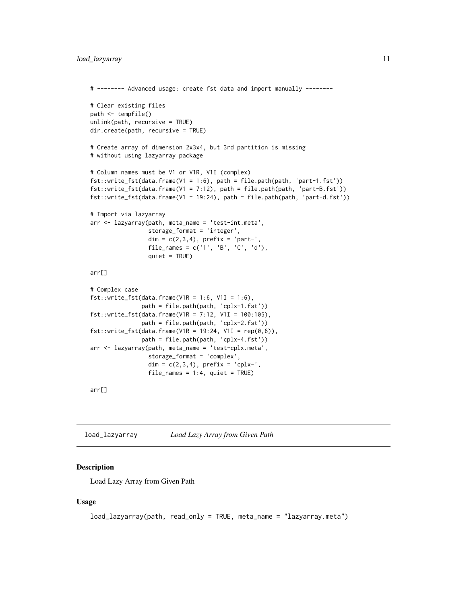```
# -------- Advanced usage: create fst data and import manually --------
# Clear existing files
path <- tempfile()
unlink(path, recursive = TRUE)
dir.create(path, recursive = TRUE)
# Create array of dimension 2x3x4, but 3rd partition is missing
# without using lazyarray package
# Column names must be V1 or V1R, V1I (complex)
fst::write_fst(data.frame(V1 = 1:6), path = file.path(path, 'part-1.fst'))
fst::write_fst(data.frame(V1 = 7:12), path = file.path(path, 'part-B.fst'))
fst::write_fst(data.frame(V1 = 19:24), path = file.path(path, 'part-d.fst'))
# Import via lazyarray
arr <- lazyarray(path, meta_name = 'test-int.meta',
                 storage_format = 'integer',
                 dim = c(2,3,4), prefix = 'part-',
                 file_names = c('1', 'B', 'C', 'd'),
                 quiet = TRUE)
arr[]
# Complex case
fst::write_fst(data.fname(V1R = 1:6, VII = 1:6),path = file.path(path, 'cplx-1.fst'))
fst::write_fst(data.frame(V1R = 7:12, V1I = 100:105),
               path = file.path(path, 'cplx-2.fst'))
fst::write_fst(data.frame(V1R = 19:24, V1I = rep(0,6)),path = file.path(path, 'cplx-4.fst'))
arr <- lazyarray(path, meta_name = 'test-cplx.meta',
                 storage_format = 'complex',
                 dim = c(2,3,4), prefix = 'cplx-',
                 file\_names = 1:4, quiet = TRUE)
```
arr[]

<span id="page-10-1"></span>load\_lazyarray *Load Lazy Array from Given Path*

#### **Description**

Load Lazy Array from Given Path

#### Usage

```
load_lazyarray(path, read_only = TRUE, meta_name = "lazyarray.meta")
```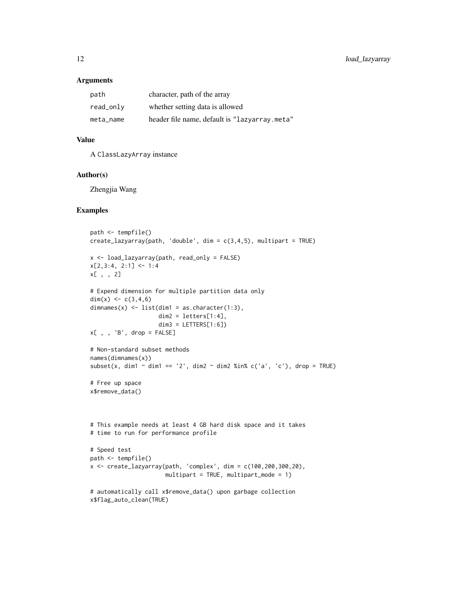#### Arguments

| path      | character, path of the array                  |
|-----------|-----------------------------------------------|
| read_only | whether setting data is allowed               |
| meta name | header file name, default is "lazyarray.meta" |

#### Value

A ClassLazyArray instance

#### Author(s)

Zhengjia Wang

#### Examples

```
path <- tempfile()
create\_lazyarray(path, 'double', dim = c(3,4,5), multipart = TRUE)x <- load_lazyarray(path, read_only = FALSE)
x[2,3:4, 2:1] <- 1:4
x[ , , 2]
# Expend dimension for multiple partition data only
dim(x) <- c(3,4,6)
dimnames(x) \le list(dim1 = as.character(1:3),
                    dim2 = letters[1:4],dim3 = LETTERS[1:6])x[ , , 'B', drop = FALSE]
# Non-standard subset methods
names(dimnames(x))
subset(x, dim1 \sim dim1 == '2', dim2 \sim dim2 %in% c('a', 'c'), drop = TRUE)
# Free up space
x$remove_data()
# This example needs at least 4 GB hard disk space and it takes
# time to run for performance profile
# Speed test
path <- tempfile()
x \le create_lazyarray(path, 'complex', dim = c(100, 200, 300, 20),
                      multipart = TRUE, multipart_mode = 1)
# automatically call x$remove_data() upon garbage collection
x$flag_auto_clean(TRUE)
```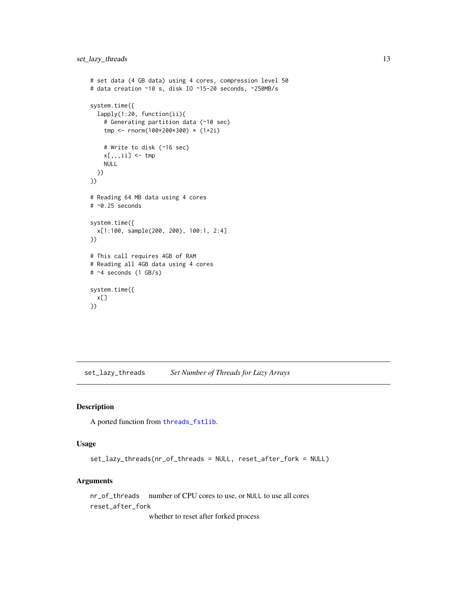```
# set data (4 GB data) using 4 cores, compression level 50
# data creation ~10 s, disk IO ~15-20 seconds, ~250MB/s
system.time({
 lapply(1:20, function(ii){
   # Generating partition data (~10 sec)
   tmp <- rnorm(100*200*300) * (1+2i)
   # Write to disk (~16 sec)
   x[,,,ii] \leq tmp
   NULL
 })
})
# Reading 64 MB data using 4 cores
# ~0.25 seconds
system.time({
 x[1:100, sample(200, 200), 100:1, 2:4]
})
# This call requires 4GB of RAM
# Reading all 4GB data using 4 cores
# ~4 seconds (1 GB/s)
system.time({
 x[]
})
```
set\_lazy\_threads *Set Number of Threads for Lazy Arrays*

#### Description

A ported function from [threads\\_fstlib](#page-0-0).

#### Usage

```
set_lazy_threads(nr_of_threads = NULL, reset_after_fork = NULL)
```
#### Arguments

nr\_of\_threads number of CPU cores to use, or NULL to use all cores reset\_after\_fork

whether to reset after forked process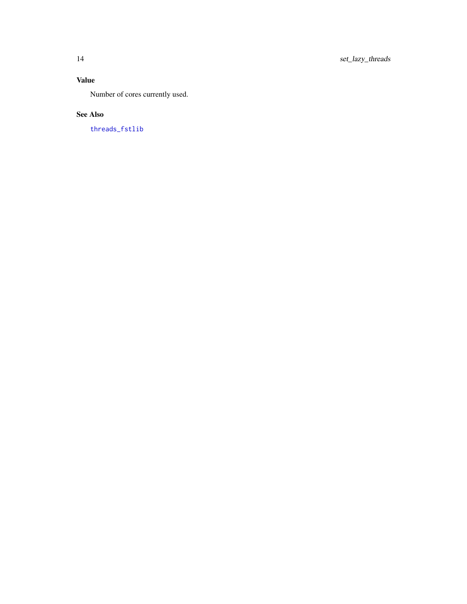#### <span id="page-13-0"></span>Value

Number of cores currently used.

#### See Also

[threads\\_fstlib](#page-0-0)